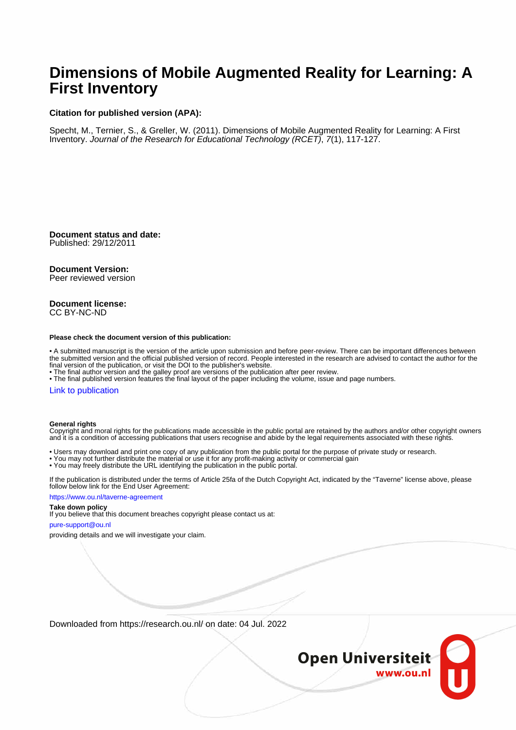# **Dimensions of Mobile Augmented Reality for Learning: A First Inventory**

#### **Citation for published version (APA):**

Specht, M., Ternier, S., & Greller, W. (2011). Dimensions of Mobile Augmented Reality for Learning: A First Inventory. Journal of the Research for Educational Technology (RCET), 7(1), 117-127.

**Document status and date:** Published: 29/12/2011

#### **Document Version:**

Peer reviewed version

#### **Document license:** CC BY-NC-ND

#### **Please check the document version of this publication:**

• A submitted manuscript is the version of the article upon submission and before peer-review. There can be important differences between the submitted version and the official published version of record. People interested in the research are advised to contact the author for the final version of the publication, or visit the DOI to the publisher's website.

• The final author version and the galley proof are versions of the publication after peer review.

• The final published version features the final layout of the paper including the volume, issue and page numbers.

#### [Link to publication](https://research.ou.nl/en/publications/db38d81b-2e82-467c-9d88-967419bd9b41)

#### **General rights**

Copyright and moral rights for the publications made accessible in the public portal are retained by the authors and/or other copyright owners and it is a condition of accessing publications that users recognise and abide by the legal requirements associated with these rights.

- Users may download and print one copy of any publication from the public portal for the purpose of private study or research.
- You may not further distribute the material or use it for any profit-making activity or commercial gain
- You may freely distribute the URL identifying the publication in the public portal.

If the publication is distributed under the terms of Article 25fa of the Dutch Copyright Act, indicated by the "Taverne" license above, please follow below link for the End User Agreement:

#### https://www.ou.nl/taverne-agreement

#### **Take down policy**

If you believe that this document breaches copyright please contact us at:

#### pure-support@ou.nl

providing details and we will investigate your claim.

Downloaded from https://research.ou.nl/ on date: 04 Jul. 2022

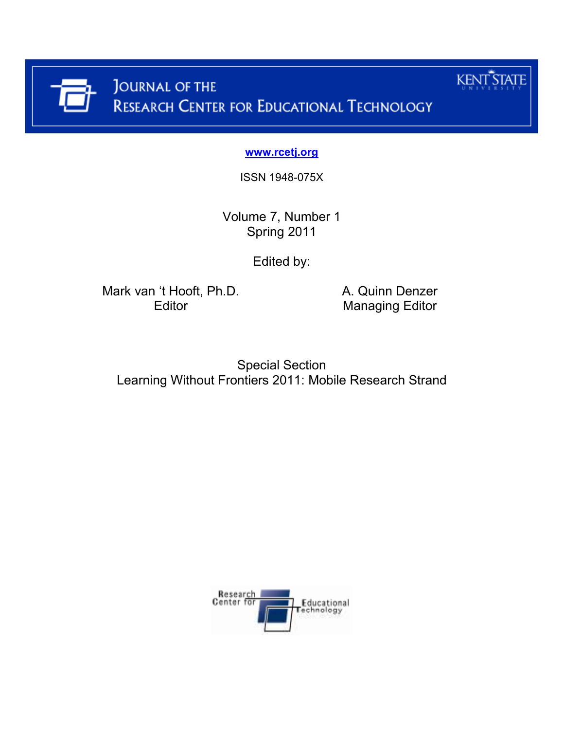

**www.rcetj.org**

ISSN 1948-075X

Volume 7, Number 1 Spring 2011

Edited by:

Mark van 't Hooft, Ph.D. <br>Editor Managing Editor Managing Editor

**Managing Editor** 

**KENT STATE** 

Special Section Learning Without Frontiers 2011: Mobile Research Strand

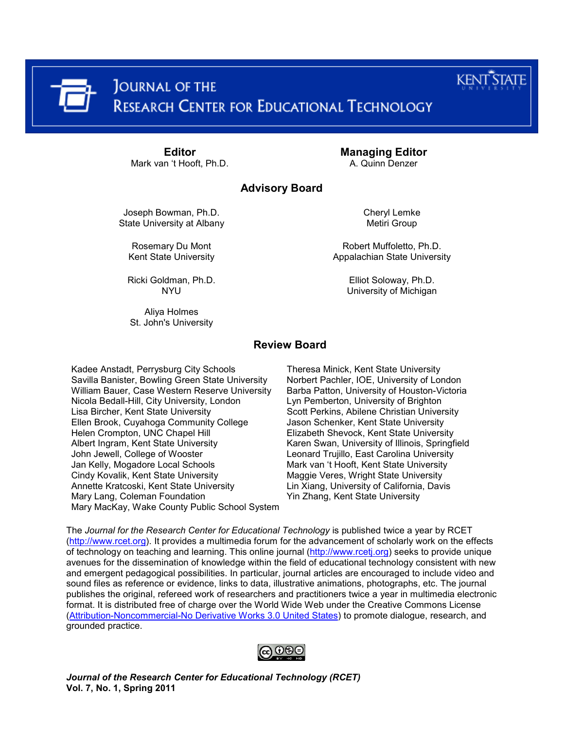|  |                                                                  | <b>KENT STAT</b><br>UNIVERSITY |
|--|------------------------------------------------------------------|--------------------------------|
|  | THE JOURNAL OF THE<br>RESEARCH CENTER FOR EDUCATIONAL TECHNOLOGY |                                |

Mark van 't Hooft, Ph.D.

**Editor Managing Editor**<br>
In 't Hooft, Ph.D. **Managing Editor**<br>
A. Quinn Denzer

# **Advisory Board**

Joseph Bowman, Ph.D. State University at Albany

Rosemary Du Mont Kent State University

Ricki Goldman, Ph.D. **NYU** 

Aliya Holmes St. John's University Metiri Group

Cheryl Lemke

Robert Muffoletto, Ph.D. Appalachian State University

> Elliot Soloway, Ph.D. University of Michigan

# **Review Board**

Kadee Anstadt, Perrysburg City Schools Theresa Minick, Kent State University Savilla Banister, Bowling Green State University Norbert Pachler, IOE, University of London<br>William Bauer, Case Western Reserve University Barba Patton, University of Houston-Victoria William Bauer, Case Western Reserve University Nicola Bedall-Hill, City University, London Lyn Pemberton, University of Brighton Lisa Bircher, Kent State University **Scott Perkins, Abilene Christian University**<br>Ellen Brook, Cuyahoga Community College Jason Schenker, Kent State University Ellen Brook, Cuyahoga Community College Helen Crompton, UNC Chapel Hill Elizabeth Shevock, Kent State University Albert Ingram, Kent State University Karen Swan, University of Illinois, Springfield John Jewell, College of Wooster **Leonard Trujillo, East Carolina University** Jan Kelly, Mogadore Local Schools Mark van 't Hooft, Kent State University Cindy Kovalik, Kent State University **Maggie Veres, Wright State University**<br>Annette Kratcoski, Kent State University **Maggie Mang**, University of California, Davi Mary Lang, Coleman Foundation The Mary Yin Zhang, Kent State University Mary MacKay, Wake County Public School System

The *Journal for the Research Center for Educational Technology* is published twice a year by RCET (http://www.rcet.org). It provides a multimedia forum for the advancement of scholarly work on the effects of technology on teaching and learning. This online journal (http://www.rcetj.org) seeks to provide unique avenues for the dissemination of knowledge within the field of educational technology consistent with new and emergent pedagogical possibilities. In particular, journal articles are encouraged to include video and sound files as reference or evidence, links to data, illustrative animations, photographs, etc. The journal publishes the original, refereed work of researchers and practitioners twice a year in multimedia electronic format. It is distributed free of charge over the World Wide Web under the Creative Commons License [\(Attribution-Noncommercial-No Derivative Works 3.0 United States\)](http://creativecommons.org/licenses/by-nc-nd/3.0/us/) to promote dialogue, research, and grounded practice.



Lin Xiang, University of California, Davis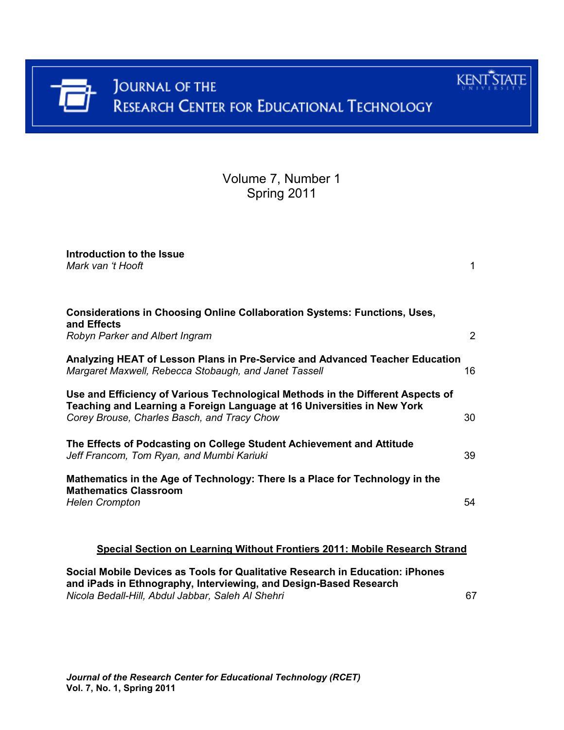

Volume 7, Number 1 Spring 2011

| Introduction to the Issue<br>Mark van 't Hooft                                                                                                                                                            | 1  |
|-----------------------------------------------------------------------------------------------------------------------------------------------------------------------------------------------------------|----|
| <b>Considerations in Choosing Online Collaboration Systems: Functions, Uses,</b><br>and Effects<br>Robyn Parker and Albert Ingram                                                                         | 2  |
| Analyzing HEAT of Lesson Plans in Pre-Service and Advanced Teacher Education<br>Margaret Maxwell, Rebecca Stobaugh, and Janet Tassell                                                                     | 16 |
| Use and Efficiency of Various Technological Methods in the Different Aspects of<br>Teaching and Learning a Foreign Language at 16 Universities in New York<br>Corey Brouse, Charles Basch, and Tracy Chow | 30 |
| The Effects of Podcasting on College Student Achievement and Attitude<br>Jeff Francom, Tom Ryan, and Mumbi Kariuki                                                                                        | 39 |
| Mathematics in the Age of Technology: There Is a Place for Technology in the<br><b>Mathematics Classroom</b><br><b>Helen Crompton</b>                                                                     | 54 |
| Special Section on Learning Without Frontiers 2011: Mobile Research Strand                                                                                                                                |    |
| Social Mobile Devices as Tools for Qualitative Research in Education: iPhones<br>and iPads in Ethnography, Interviewing, and Design-Based Research                                                        |    |

*Nicola Bedall-Hill, Abdul Jabbar, Saleh Al Shehri* 67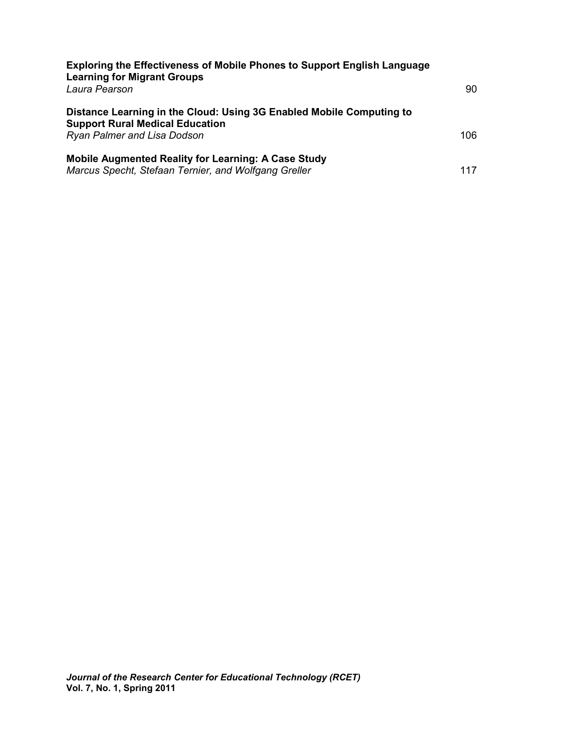| <b>Exploring the Effectiveness of Mobile Phones to Support English Language</b><br><b>Learning for Migrant Groups</b> |      |
|-----------------------------------------------------------------------------------------------------------------------|------|
| Laura Pearson                                                                                                         | 90   |
| Distance Learning in the Cloud: Using 3G Enabled Mobile Computing to<br><b>Support Rural Medical Education</b>        |      |
| <b>Ryan Palmer and Lisa Dodson</b>                                                                                    | 106. |
| <b>Mobile Augmented Reality for Learning: A Case Study</b>                                                            |      |
| Marcus Specht, Stefaan Ternier, and Wolfgang Greller                                                                  | 117  |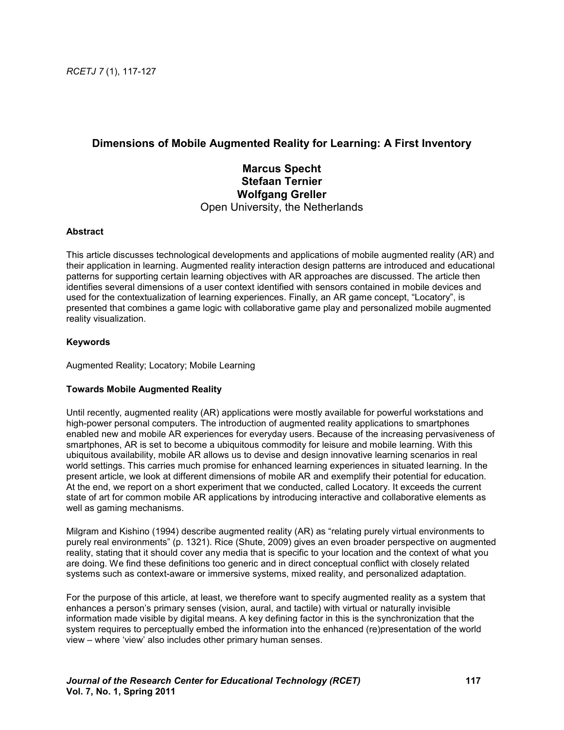# **Dimensions of Mobile Augmented Reality for Learning: A First Inventory**

# **Marcus Specht Stefaan Ternier Wolfgang Greller**  Open University, the Netherlands

### **Abstract**

This article discusses technological developments and applications of mobile augmented reality (AR) and their application in learning. Augmented reality interaction design patterns are introduced and educational patterns for supporting certain learning objectives with AR approaches are discussed. The article then identifies several dimensions of a user context identified with sensors contained in mobile devices and used for the contextualization of learning experiences. Finally, an AR game concept, "Locatory", is presented that combines a game logic with collaborative game play and personalized mobile augmented reality visualization.

### **Keywords**

Augmented Reality; Locatory; Mobile Learning

### **Towards Mobile Augmented Reality**

Until recently, augmented reality (AR) applications were mostly available for powerful workstations and high-power personal computers. The introduction of augmented reality applications to smartphones enabled new and mobile AR experiences for everyday users. Because of the increasing pervasiveness of smartphones, AR is set to become a ubiquitous commodity for leisure and mobile learning. With this ubiquitous availability, mobile AR allows us to devise and design innovative learning scenarios in real world settings. This carries much promise for enhanced learning experiences in situated learning. In the present article, we look at different dimensions of mobile AR and exemplify their potential for education. At the end, we report on a short experiment that we conducted, called Locatory. It exceeds the current state of art for common mobile AR applications by introducing interactive and collaborative elements as well as gaming mechanisms.

Milgram and Kishino (1994) describe augmented reality (AR) as "relating purely virtual environments to purely real environments" (p. 1321). Rice (Shute, 2009) gives an even broader perspective on augmented reality, stating that it should cover any media that is specific to your location and the context of what you are doing. We find these definitions too generic and in direct conceptual conflict with closely related systems such as context-aware or immersive systems, mixed reality, and personalized adaptation.

For the purpose of this article, at least, we therefore want to specify augmented reality as a system that enhances a person's primary senses (vision, aural, and tactile) with virtual or naturally invisible information made visible by digital means. A key defining factor in this is the synchronization that the system requires to perceptually embed the information into the enhanced (re)presentation of the world view – where 'view' also includes other primary human senses.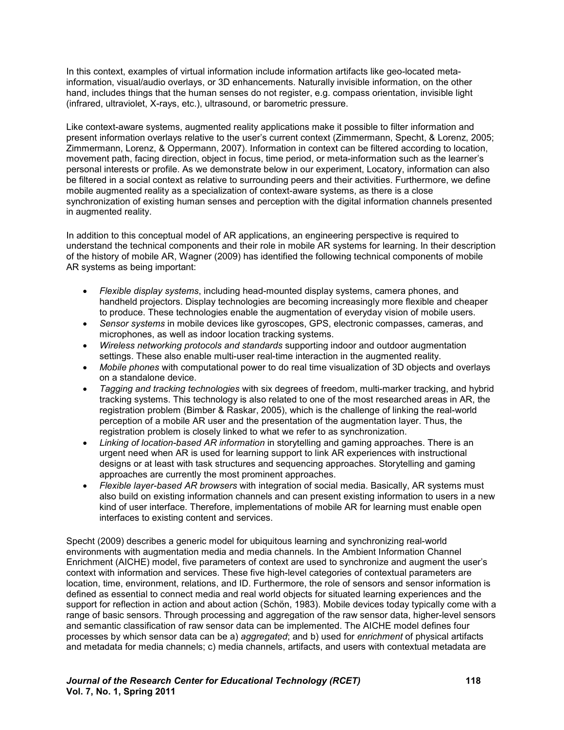In this context, examples of virtual information include information artifacts like geo-located metainformation, visual/audio overlays, or 3D enhancements. Naturally invisible information, on the other hand, includes things that the human senses do not register, e.g. compass orientation, invisible light (infrared, ultraviolet, X-rays, etc.), ultrasound, or barometric pressure.

Like context-aware systems, augmented reality applications make it possible to filter information and present information overlays relative to the user's current context (Zimmermann, Specht, & Lorenz, 2005; Zimmermann, Lorenz, & Oppermann, 2007). Information in context can be filtered according to location, movement path, facing direction, object in focus, time period, or meta-information such as the learner's personal interests or profile. As we demonstrate below in our experiment, Locatory, information can also be filtered in a social context as relative to surrounding peers and their activities. Furthermore, we define mobile augmented reality as a specialization of context-aware systems, as there is a close synchronization of existing human senses and perception with the digital information channels presented in augmented reality.

In addition to this conceptual model of AR applications, an engineering perspective is required to understand the technical components and their role in mobile AR systems for learning. In their description of the history of mobile AR, Wagner (2009) has identified the following technical components of mobile AR systems as being important:

- *Flexible display systems*, including head-mounted display systems, camera phones, and handheld projectors. Display technologies are becoming increasingly more flexible and cheaper to produce. These technologies enable the augmentation of everyday vision of mobile users.
- *Sensor systems* in mobile devices like gyroscopes, GPS, electronic compasses, cameras, and microphones, as well as indoor location tracking systems.
- *Wireless networking protocols and standards* supporting indoor and outdoor augmentation settings. These also enable multi-user real-time interaction in the augmented reality.
- *Mobile phones* with computational power to do real time visualization of 3D objects and overlays on a standalone device.
- *Tagging and tracking technologies* with six degrees of freedom, multi-marker tracking, and hybrid tracking systems. This technology is also related to one of the most researched areas in AR, the registration problem (Bimber & Raskar, 2005), which is the challenge of linking the real-world perception of a mobile AR user and the presentation of the augmentation layer. Thus, the registration problem is closely linked to what we refer to as synchronization.
- *Linking of location-based AR information* in storytelling and gaming approaches. There is an urgent need when AR is used for learning support to link AR experiences with instructional designs or at least with task structures and sequencing approaches. Storytelling and gaming approaches are currently the most prominent approaches.
- *Flexible layer-based AR browsers* with integration of social media. Basically, AR systems must also build on existing information channels and can present existing information to users in a new kind of user interface. Therefore, implementations of mobile AR for learning must enable open interfaces to existing content and services.

Specht (2009) describes a generic model for ubiquitous learning and synchronizing real-world environments with augmentation media and media channels. In the Ambient Information Channel Enrichment (AICHE) model, five parameters of context are used to synchronize and augment the user's context with information and services. These five high-level categories of contextual parameters are location, time, environment, relations, and ID. Furthermore, the role of sensors and sensor information is defined as essential to connect media and real world objects for situated learning experiences and the support for reflection in action and about action (Schön, 1983). Mobile devices today typically come with a range of basic sensors. Through processing and aggregation of the raw sensor data, higher-level sensors and semantic classification of raw sensor data can be implemented. The AICHE model defines four processes by which sensor data can be a) *aggregated*; and b) used for *enrichment* of physical artifacts and metadata for media channels; c) media channels, artifacts, and users with contextual metadata are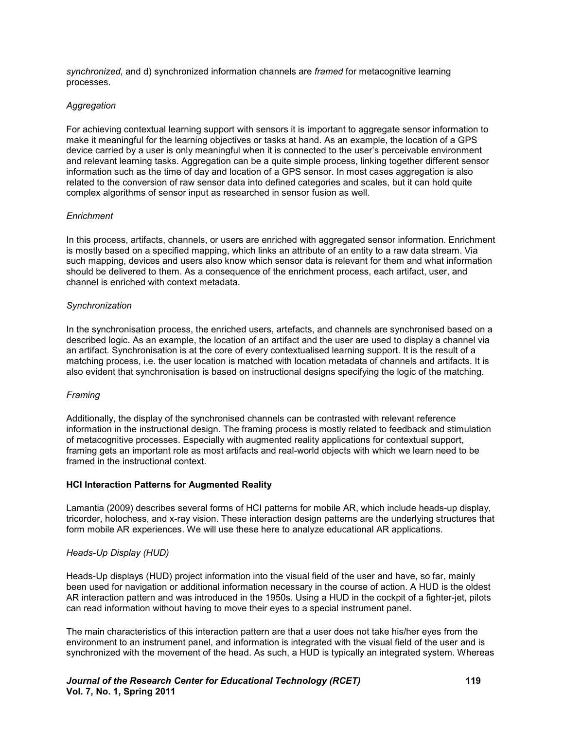*synchronized*, and d) synchronized information channels are *framed* for metacognitive learning processes.

### *Aggregation*

For achieving contextual learning support with sensors it is important to aggregate sensor information to make it meaningful for the learning objectives or tasks at hand. As an example, the location of a GPS device carried by a user is only meaningful when it is connected to the user's perceivable environment and relevant learning tasks. Aggregation can be a quite simple process, linking together different sensor information such as the time of day and location of a GPS sensor. In most cases aggregation is also related to the conversion of raw sensor data into defined categories and scales, but it can hold quite complex algorithms of sensor input as researched in sensor fusion as well.

### *Enrichment*

In this process, artifacts, channels, or users are enriched with aggregated sensor information. Enrichment is mostly based on a specified mapping, which links an attribute of an entity to a raw data stream. Via such mapping, devices and users also know which sensor data is relevant for them and what information should be delivered to them. As a consequence of the enrichment process, each artifact, user, and channel is enriched with context metadata.

#### *Synchronization*

In the synchronisation process, the enriched users, artefacts, and channels are synchronised based on a described logic. As an example, the location of an artifact and the user are used to display a channel via an artifact. Synchronisation is at the core of every contextualised learning support. It is the result of a matching process, i.e. the user location is matched with location metadata of channels and artifacts. It is also evident that synchronisation is based on instructional designs specifying the logic of the matching.

### *Framing*

Additionally, the display of the synchronised channels can be contrasted with relevant reference information in the instructional design. The framing process is mostly related to feedback and stimulation of metacognitive processes. Especially with augmented reality applications for contextual support, framing gets an important role as most artifacts and real-world objects with which we learn need to be framed in the instructional context.

#### **HCI Interaction Patterns for Augmented Reality**

Lamantia (2009) describes several forms of HCI patterns for mobile AR, which include heads-up display, tricorder, holochess, and x-ray vision. These interaction design patterns are the underlying structures that form mobile AR experiences. We will use these here to analyze educational AR applications.

### *Heads-Up Display (HUD)*

Heads-Up displays (HUD) project information into the visual field of the user and have, so far, mainly been used for navigation or additional information necessary in the course of action. A HUD is the oldest AR interaction pattern and was introduced in the 1950s. Using a HUD in the cockpit of a fighter-jet, pilots can read information without having to move their eyes to a special instrument panel.

The main characteristics of this interaction pattern are that a user does not take his/her eyes from the environment to an instrument panel, and information is integrated with the visual field of the user and is synchronized with the movement of the head. As such, a HUD is typically an integrated system. Whereas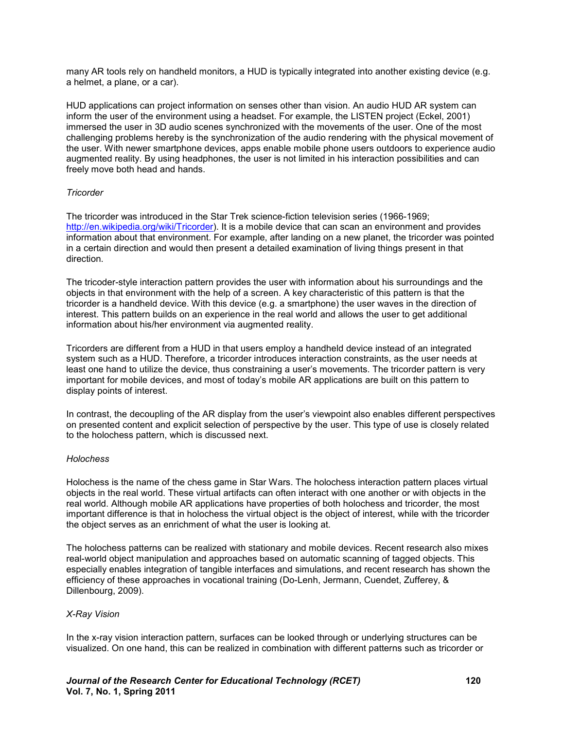many AR tools rely on handheld monitors, a HUD is typically integrated into another existing device (e.g. a helmet, a plane, or a car).

HUD applications can project information on senses other than vision. An audio HUD AR system can inform the user of the environment using a headset. For example, the LISTEN project (Eckel, 2001) immersed the user in 3D audio scenes synchronized with the movements of the user. One of the most challenging problems hereby is the synchronization of the audio rendering with the physical movement of the user. With newer smartphone devices, apps enable mobile phone users outdoors to experience audio augmented reality. By using headphones, the user is not limited in his interaction possibilities and can freely move both head and hands.

#### *Tricorder*

The tricorder was introduced in the Star Trek science-fiction television series (1966-1969; http://en.wikipedia.org/wiki/Tricorder). It is a mobile device that can scan an environment and provides information about that environment. For example, after landing on a new planet, the tricorder was pointed in a certain direction and would then present a detailed examination of living things present in that direction.

The tricoder-style interaction pattern provides the user with information about his surroundings and the objects in that environment with the help of a screen. A key characteristic of this pattern is that the tricorder is a handheld device. With this device (e.g. a smartphone) the user waves in the direction of interest. This pattern builds on an experience in the real world and allows the user to get additional information about his/her environment via augmented reality.

Tricorders are different from a HUD in that users employ a handheld device instead of an integrated system such as a HUD. Therefore, a tricorder introduces interaction constraints, as the user needs at least one hand to utilize the device, thus constraining a user's movements. The tricorder pattern is very important for mobile devices, and most of today's mobile AR applications are built on this pattern to display points of interest.

In contrast, the decoupling of the AR display from the user's viewpoint also enables different perspectives on presented content and explicit selection of perspective by the user. This type of use is closely related to the holochess pattern, which is discussed next.

#### *Holochess*

Holochess is the name of the chess game in Star Wars. The holochess interaction pattern places virtual objects in the real world. These virtual artifacts can often interact with one another or with objects in the real world. Although mobile AR applications have properties of both holochess and tricorder, the most important difference is that in holochess the virtual object is the object of interest, while with the tricorder the object serves as an enrichment of what the user is looking at.

The holochess patterns can be realized with stationary and mobile devices. Recent research also mixes real-world object manipulation and approaches based on automatic scanning of tagged objects. This especially enables integration of tangible interfaces and simulations, and recent research has shown the efficiency of these approaches in vocational training (Do-Lenh, Jermann, Cuendet, Zufferey, & Dillenbourg, 2009).

### *X-Ray Vision*

In the x-ray vision interaction pattern, surfaces can be looked through or underlying structures can be visualized. On one hand, this can be realized in combination with different patterns such as tricorder or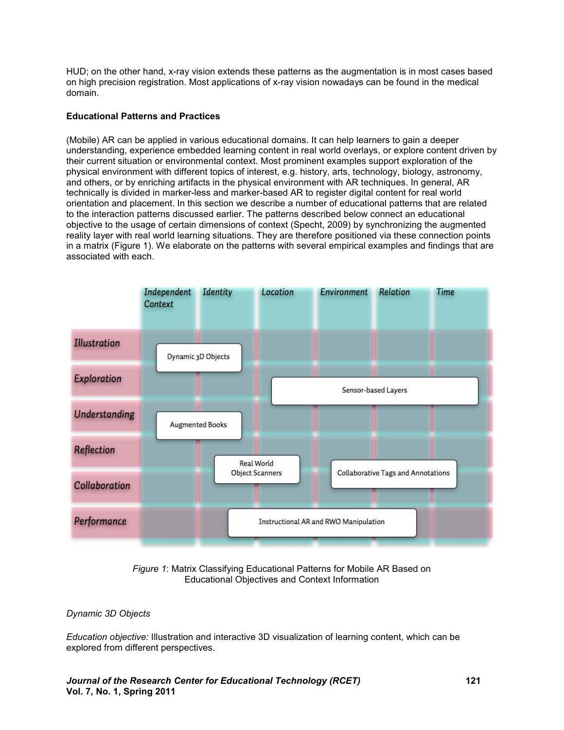HUD; on the other hand, x-ray vision extends these patterns as the augmentation is in most cases based on high precision registration. Most applications of x-ray vision nowadays can be found in the medical domain.

### **Educational Patterns and Practices**

(Mobile) AR can be applied in various educational domains. It can help learners to gain a deeper understanding, experience embedded learning content in real world overlays, or explore content driven by their current situation or environmental context. Most prominent examples support exploration of the physical environment with different topics of interest, e.g. history, arts, technology, biology, astronomy, and others, or by enriching artifacts in the physical environment with AR techniques. In general, AR technically is divided in marker-less and marker-based AR to register digital content for real world orientation and placement. In this section we describe a number of educational patterns that are related to the interaction patterns discussed earlier. The patterns described below connect an educational objective to the usage of certain dimensions of context (Specht, 2009) by synchronizing the augmented reality layer with real world learning situations. They are therefore positioned via these connection points in a matrix (Figure 1). We elaborate on the patterns with several empirical examples and findings that are associated with each.



*Figure 1*: Matrix Classifying Educational Patterns for Mobile AR Based on Educational Objectives and Context Information

### *Dynamic 3D Objects*

*Education objective:* Illustration and interactive 3D visualization of learning content, which can be explored from different perspectives.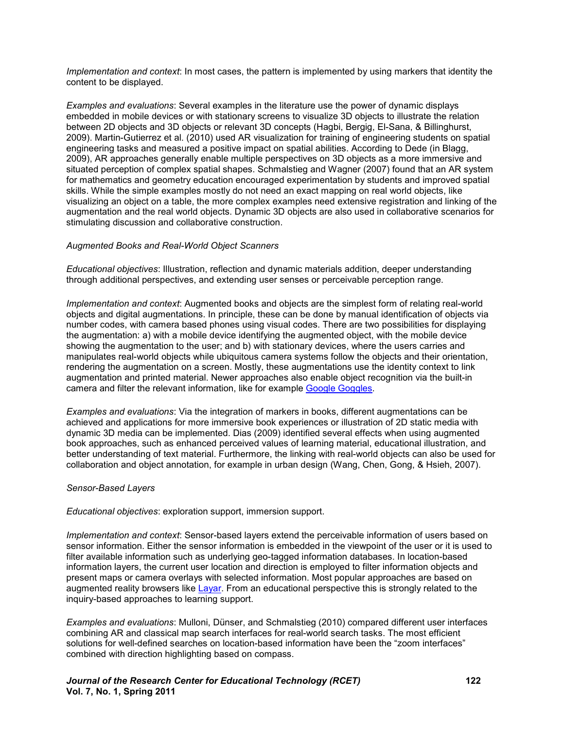*Implementation and context*: In most cases, the pattern is implemented by using markers that identity the content to be displayed.

*Examples and evaluations*: Several examples in the literature use the power of dynamic displays embedded in mobile devices or with stationary screens to visualize 3D objects to illustrate the relation between 2D objects and 3D objects or relevant 3D concepts (Hagbi, Bergig, El-Sana, & Billinghurst, 2009). Martin-Gutierrez et al. (2010) used AR visualization for training of engineering students on spatial engineering tasks and measured a positive impact on spatial abilities. According to Dede (in Blagg, 2009), AR approaches generally enable multiple perspectives on 3D objects as a more immersive and situated perception of complex spatial shapes. Schmalstieg and Wagner (2007) found that an AR system for mathematics and geometry education encouraged experimentation by students and improved spatial skills. While the simple examples mostly do not need an exact mapping on real world objects, like visualizing an object on a table, the more complex examples need extensive registration and linking of the augmentation and the real world objects. Dynamic 3D objects are also used in collaborative scenarios for stimulating discussion and collaborative construction.

#### *Augmented Books and Real-World Object Scanners*

*Educational objectives*: Illustration, reflection and dynamic materials addition, deeper understanding through additional perspectives, and extending user senses or perceivable perception range.

*Implementation and context*: Augmented books and objects are the simplest form of relating real-world objects and digital augmentations. In principle, these can be done by manual identification of objects via number codes, with camera based phones using visual codes. There are two possibilities for displaying the augmentation: a) with a mobile device identifying the augmented object, with the mobile device showing the augmentation to the user; and b) with stationary devices, where the users carries and manipulates real-world objects while ubiquitous camera systems follow the objects and their orientation, rendering the augmentation on a screen. Mostly, these augmentations use the identity context to link augmentation and printed material. Newer approaches also enable object recognition via the built-in camera and filter the relevant information, like for exampl[e Google Goggles.](http://www.google.com/mobile/goggles/#text) 

*Examples and evaluations*: Via the integration of markers in books, different augmentations can be achieved and applications for more immersive book experiences or illustration of 2D static media with dynamic 3D media can be implemented. Dias (2009) identified several effects when using augmented book approaches, such as enhanced perceived values of learning material, educational illustration, and better understanding of text material. Furthermore, the linking with real-world objects can also be used for collaboration and object annotation, for example in urban design (Wang, Chen, Gong, & Hsieh, 2007).

#### *Sensor-Based Layers*

*Educational objectives*: exploration support, immersion support.

*Implementation and context*: Sensor-based layers extend the perceivable information of users based on sensor information. Either the sensor information is embedded in the viewpoint of the user or it is used to filter available information such as underlying geo-tagged information databases. In location-based information layers, the current user location and direction is employed to filter information objects and present maps or camera overlays with selected information. Most popular approaches are based on augmented reality browsers like [Layar.](http://www.layar.com/) From an educational perspective this is strongly related to the inquiry-based approaches to learning support.

*Examples and evaluations*: Mulloni, Dünser, and Schmalstieg (2010) compared different user interfaces combining AR and classical map search interfaces for real-world search tasks. The most efficient solutions for well-defined searches on location-based information have been the "zoom interfaces" combined with direction highlighting based on compass.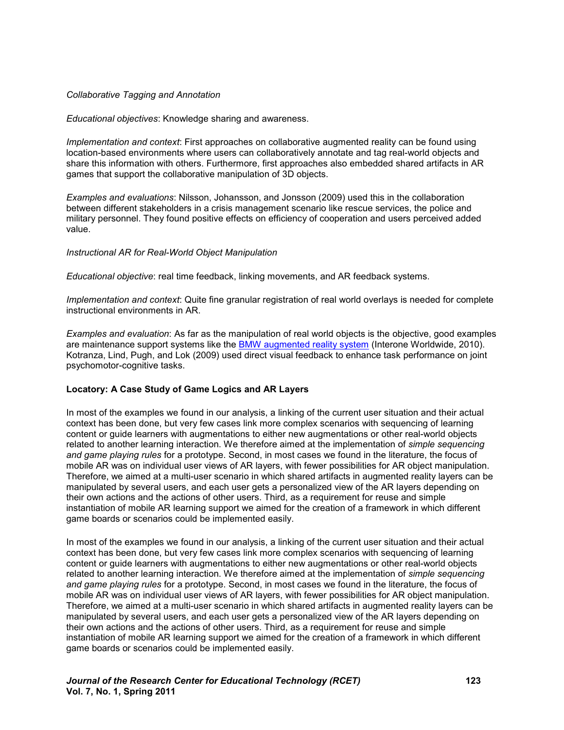#### *Collaborative Tagging and Annotation*

*Educational objectives*: Knowledge sharing and awareness.

*Implementation and context*: First approaches on collaborative augmented reality can be found using location-based environments where users can collaboratively annotate and tag real-world objects and share this information with others. Furthermore, first approaches also embedded shared artifacts in AR games that support the collaborative manipulation of 3D objects.

*Examples and evaluations*: Nilsson, Johansson, and Jonsson (2009) used this in the collaboration between different stakeholders in a crisis management scenario like rescue services, the police and military personnel. They found positive effects on efficiency of cooperation and users perceived added value.

#### *Instructional AR for Real-World Object Manipulation*

*Educational objective*: real time feedback, linking movements, and AR feedback systems.

*Implementation and context*: Quite fine granular registration of real world overlays is needed for complete instructional environments in AR.

*Examples and evaluation*: As far as the manipulation of real world objects is the objective, good examples are maintenance support systems like the [BMW augmented reality system \(](http://www.bmw.com/com/en/owners/service/augmented_reality_workshop_1.html)Interone Worldwide, 2010). Kotranza, Lind, Pugh, and Lok (2009) used direct visual feedback to enhance task performance on joint psychomotor-cognitive tasks.

#### **Locatory: A Case Study of Game Logics and AR Layers**

In most of the examples we found in our analysis, a linking of the current user situation and their actual context has been done, but very few cases link more complex scenarios with sequencing of learning content or guide learners with augmentations to either new augmentations or other real-world objects related to another learning interaction. We therefore aimed at the implementation of *simple sequencing and game playing rules* for a prototype. Second, in most cases we found in the literature, the focus of mobile AR was on individual user views of AR layers, with fewer possibilities for AR object manipulation. Therefore, we aimed at a multi-user scenario in which shared artifacts in augmented reality layers can be manipulated by several users, and each user gets a personalized view of the AR layers depending on their own actions and the actions of other users. Third, as a requirement for reuse and simple instantiation of mobile AR learning support we aimed for the creation of a framework in which different game boards or scenarios could be implemented easily.

In most of the examples we found in our analysis, a linking of the current user situation and their actual context has been done, but very few cases link more complex scenarios with sequencing of learning content or guide learners with augmentations to either new augmentations or other real-world objects related to another learning interaction. We therefore aimed at the implementation of *simple sequencing and game playing rules* for a prototype. Second, in most cases we found in the literature, the focus of mobile AR was on individual user views of AR layers, with fewer possibilities for AR object manipulation. Therefore, we aimed at a multi-user scenario in which shared artifacts in augmented reality layers can be manipulated by several users, and each user gets a personalized view of the AR layers depending on their own actions and the actions of other users. Third, as a requirement for reuse and simple instantiation of mobile AR learning support we aimed for the creation of a framework in which different game boards or scenarios could be implemented easily.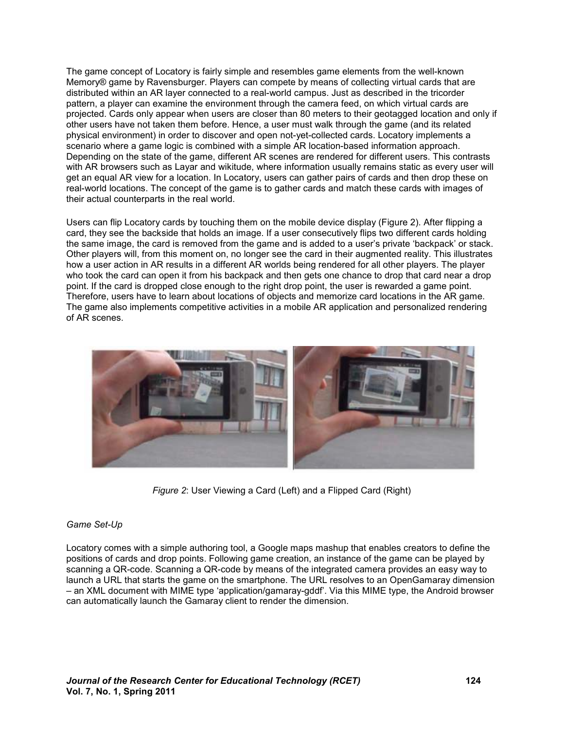The game concept of Locatory is fairly simple and resembles game elements from the well-known Memory® game by Ravensburger. Players can compete by means of collecting virtual cards that are distributed within an AR layer connected to a real-world campus. Just as described in the tricorder pattern, a player can examine the environment through the camera feed, on which virtual cards are projected. Cards only appear when users are closer than 80 meters to their geotagged location and only if other users have not taken them before. Hence, a user must walk through the game (and its related physical environment) in order to discover and open not-yet-collected cards. Locatory implements a scenario where a game logic is combined with a simple AR location-based information approach. Depending on the state of the game, different AR scenes are rendered for different users. This contrasts with AR browsers such as Layar and wikitude, where information usually remains static as every user will get an equal AR view for a location. In Locatory, users can gather pairs of cards and then drop these on real-world locations. The concept of the game is to gather cards and match these cards with images of their actual counterparts in the real world.

Users can flip Locatory cards by touching them on the mobile device display (Figure 2). After flipping a card, they see the backside that holds an image. If a user consecutively flips two different cards holding the same image, the card is removed from the game and is added to a user's private 'backpack' or stack. Other players will, from this moment on, no longer see the card in their augmented reality. This illustrates how a user action in AR results in a different AR worlds being rendered for all other players. The player who took the card can open it from his backpack and then gets one chance to drop that card near a drop point. If the card is dropped close enough to the right drop point, the user is rewarded a game point. Therefore, users have to learn about locations of objects and memorize card locations in the AR game. The game also implements competitive activities in a mobile AR application and personalized rendering of AR scenes.



*Figure 2*: User Viewing a Card (Left) and a Flipped Card (Right)

### *Game Set-Up*

Locatory comes with a simple authoring tool, a Google maps mashup that enables creators to define the positions of cards and drop points. Following game creation, an instance of the game can be played by scanning a QR-code. Scanning a QR-code by means of the integrated camera provides an easy way to launch a URL that starts the game on the smartphone. The URL resolves to an OpenGamaray dimension – an XML document with MIME type 'application/gamaray-gddf'. Via this MIME type, the Android browser can automatically launch the Gamaray client to render the dimension.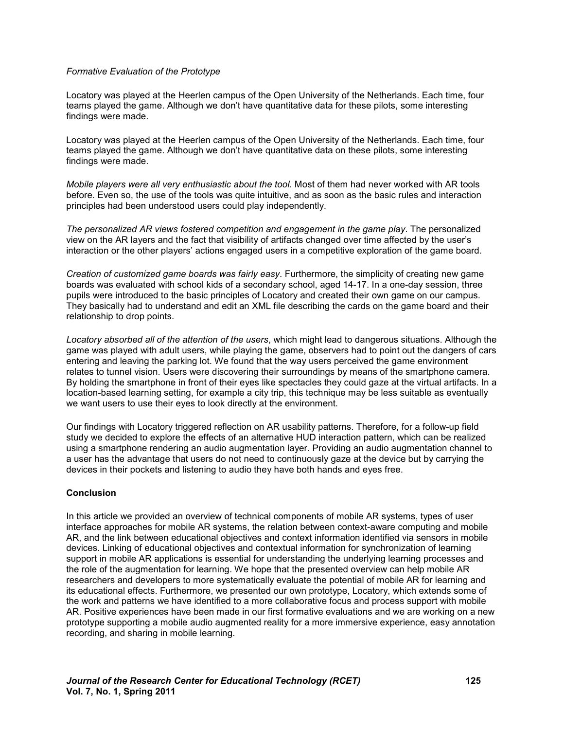#### *Formative Evaluation of the Prototype*

Locatory was played at the Heerlen campus of the Open University of the Netherlands. Each time, four teams played the game. Although we don't have quantitative data for these pilots, some interesting findings were made.

Locatory was played at the Heerlen campus of the Open University of the Netherlands. Each time, four teams played the game. Although we don't have quantitative data on these pilots, some interesting findings were made.

*Mobile players were all very enthusiastic about the tool*. Most of them had never worked with AR tools before. Even so, the use of the tools was quite intuitive, and as soon as the basic rules and interaction principles had been understood users could play independently.

*The personalized AR views fostered competition and engagement in the game play*. The personalized view on the AR layers and the fact that visibility of artifacts changed over time affected by the user's interaction or the other players' actions engaged users in a competitive exploration of the game board.

*Creation of customized game boards was fairly easy*. Furthermore, the simplicity of creating new game boards was evaluated with school kids of a secondary school, aged 14-17. In a one-day session, three pupils were introduced to the basic principles of Locatory and created their own game on our campus. They basically had to understand and edit an XML file describing the cards on the game board and their relationship to drop points.

*Locatory absorbed all of the attention of the users*, which might lead to dangerous situations. Although the game was played with adult users, while playing the game, observers had to point out the dangers of cars entering and leaving the parking lot. We found that the way users perceived the game environment relates to tunnel vision. Users were discovering their surroundings by means of the smartphone camera. By holding the smartphone in front of their eyes like spectacles they could gaze at the virtual artifacts. In a location-based learning setting, for example a city trip, this technique may be less suitable as eventually we want users to use their eyes to look directly at the environment.

Our findings with Locatory triggered reflection on AR usability patterns. Therefore, for a follow-up field study we decided to explore the effects of an alternative HUD interaction pattern, which can be realized using a smartphone rendering an audio augmentation layer. Providing an audio augmentation channel to a user has the advantage that users do not need to continuously gaze at the device but by carrying the devices in their pockets and listening to audio they have both hands and eyes free.

### **Conclusion**

In this article we provided an overview of technical components of mobile AR systems, types of user interface approaches for mobile AR systems, the relation between context-aware computing and mobile AR, and the link between educational objectives and context information identified via sensors in mobile devices. Linking of educational objectives and contextual information for synchronization of learning support in mobile AR applications is essential for understanding the underlying learning processes and the role of the augmentation for learning. We hope that the presented overview can help mobile AR researchers and developers to more systematically evaluate the potential of mobile AR for learning and its educational effects. Furthermore, we presented our own prototype, Locatory, which extends some of the work and patterns we have identified to a more collaborative focus and process support with mobile AR. Positive experiences have been made in our first formative evaluations and we are working on a new prototype supporting a mobile audio augmented reality for a more immersive experience, easy annotation recording, and sharing in mobile learning.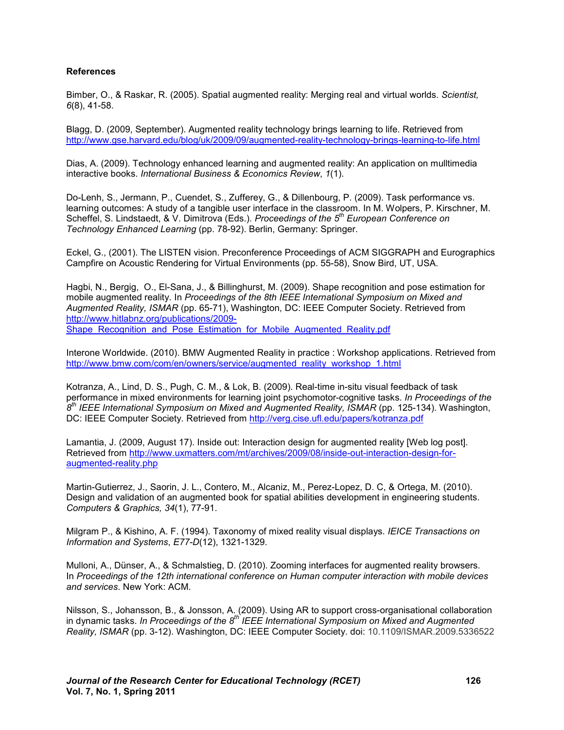#### **References**

Bimber, O., & Raskar, R. (2005). Spatial augmented reality: Merging real and virtual worlds. *Scientist, 6*(8), 41-58.

Blagg, D. (2009, September). Augmented reality technology brings learning to life. Retrieved from http://www.gse.harvard.edu/blog/uk/2009/09/augmented-reality-technology-brings-learning-to-life.html

Dias, A. (2009). Technology enhanced learning and augmented reality: An application on mulltimedia interactive books. *International Business & Economics Review*, *1*(1).

Do-Lenh, S., Jermann, P., Cuendet, S., Zufferey, G., & Dillenbourg, P. (2009). Task performance vs. learning outcomes: A study of a tangible user interface in the classroom. In M. Wolpers, P. Kirschner, M. Scheffel, S. Lindstaedt, & V. Dimitrova (Eds.). *Proceedings of the 5th European Conference on Technology Enhanced Learning* (pp. 78-92). Berlin, Germany: Springer.

Eckel, G., (2001). The LISTEN vision. Preconference Proceedings of ACM SIGGRAPH and Eurographics Campfire on Acoustic Rendering for Virtual Environments (pp. 55-58), Snow Bird, UT, USA.

Hagbi, N., Bergig, O., El-Sana, J., & Billinghurst, M. (2009). Shape recognition and pose estimation for mobile augmented reality. In *Proceedings of the 8th IEEE International Symposium on Mixed and Augmented Reality, ISMAR* (pp. 65-71), Washington, DC: IEEE Computer Society. Retrieved from http://www.hitlabnz.org/publications/2009- Shape\_Recognition\_and\_Pose\_Estimation\_for\_Mobile\_Augmented\_Reality.pdf

Interone Worldwide. (2010). BMW Augmented Reality in practice : Workshop applications. Retrieved from http://www.bmw.com/com/en/owners/service/augmented\_reality\_workshop\_1.html

Kotranza, A., Lind, D. S., Pugh, C. M., & Lok, B. (2009). Real-time in-situ visual feedback of task performance in mixed environments for learning joint psychomotor-cognitive tasks. *In Proceedings of the 8 th IEEE International Symposium on Mixed and Augmented Reality, ISMAR* (pp. 125-134). Washington, DC: IEEE Computer Society. Retrieved from http://verg.cise.ufl.edu/papers/kotranza.pdf

Lamantia, J. (2009, August 17). Inside out: Interaction design for augmented reality [Web log post]. Retrieved from http://www.uxmatters.com/mt/archives/2009/08/inside-out-interaction-design-foraugmented-reality.php

Martin-Gutierrez, J., Saorin, J. L., Contero, M., Alcaniz, M., Perez-Lopez, D. C, & Ortega, M. (2010). Design and validation of an augmented book for spatial abilities development in engineering students. *Computers & Graphics, 34*(1), 77-91.

Milgram P., & Kishino, A. F. (1994). Taxonomy of mixed reality visual displays. *IEICE Transactions on Information and Systems*, *E77-D*(12), 1321-1329.

Mulloni, A., Dünser, A., & Schmalstieg, D. (2010). Zooming interfaces for augmented reality browsers. In *Proceedings of the 12th international conference on Human computer interaction with mobile devices and services*. New York: ACM.

Nilsson, S., Johansson, B., & Jonsson, A. (2009). Using AR to support cross-organisational collaboration in dynamic tasks. *In Proceedings of the 8th IEEE International Symposium on Mixed and Augmented Reality, ISMAR* (pp. 3-12). Washington, DC: IEEE Computer Society. doi: 10.1109/ISMAR.2009.5336522